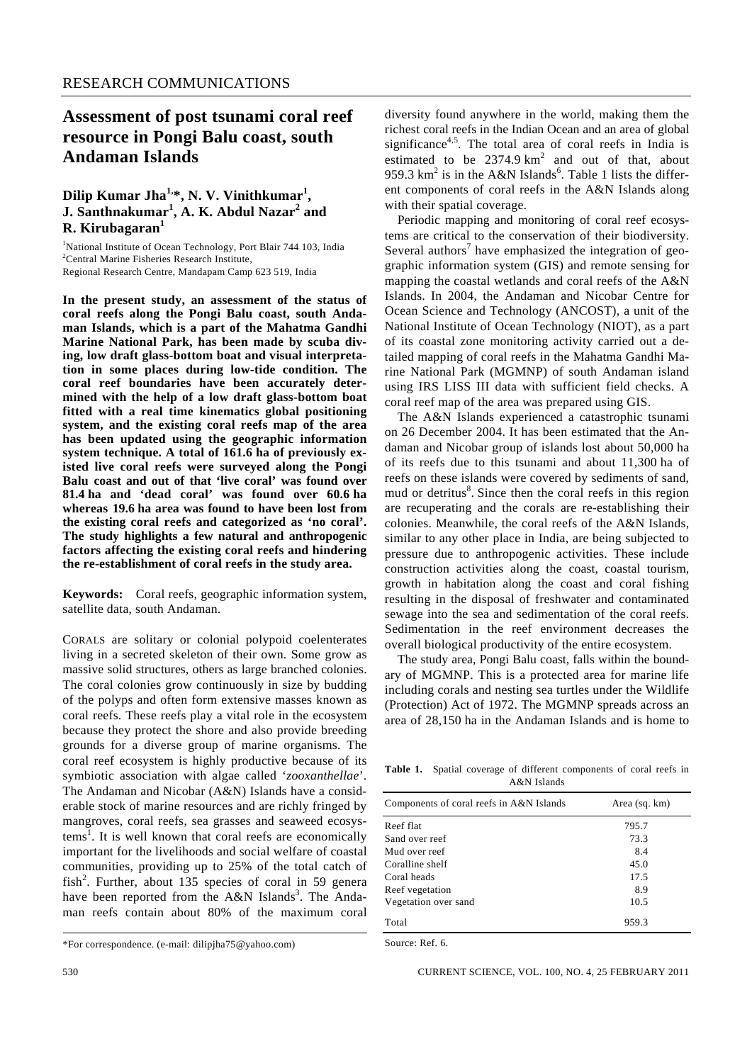# **Assessment of post tsunami coral reef resource in Pongi Balu coast, south Andaman Islands**

# Dilip Kumar Jha<sup>1,\*</sup>, N.V. Vinithkumar<sup>1</sup>, **J. Santhnakumar<sup>1</sup> , A. K. Abdul Nazar<sup>2</sup> and R. Kirubagaran<sup>1</sup>**

<sup>1</sup>National Institute of Ocean Technology, Port Blair 744 103, India<br><sup>2</sup>Central Marina Ficharias Bassarah Institute <sup>2</sup> Central Marine Fisheries Research Institute, Regional Research Centre, Mandapam Camp 623 519, India

**In the present study, an assessment of the status of coral reefs along the Pongi Balu coast, south Andaman Islands, which is a part of the Mahatma Gandhi Marine National Park, has been made by scuba diving, low draft glass-bottom boat and visual interpretation in some places during low-tide condition. The coral reef boundaries have been accurately determined with the help of a low draft glass-bottom boat fitted with a real time kinematics global positioning system, and the existing coral reefs map of the area has been updated using the geographic information system technique. A total of 161.6 ha of previously existed live coral reefs were surveyed along the Pongi Balu coast and out of that 'live coral' was found over 81.4 ha and 'dead coral' was found over 60.6 ha whereas 19.6 ha area was found to have been lost from the existing coral reefs and categorized as 'no coral'. The study highlights a few natural and anthropogenic factors affecting the existing coral reefs and hindering the re-establishment of coral reefs in the study area.** 

**Keywords:** Coral reefs, geographic information system, satellite data, south Andaman.

CORALS are solitary or colonial polypoid coelenterates living in a secreted skeleton of their own. Some grow as massive solid structures, others as large branched colonies. The coral colonies grow continuously in size by budding of the polyps and often form extensive masses known as coral reefs. These reefs play a vital role in the ecosystem because they protect the shore and also provide breeding grounds for a diverse group of marine organisms. The coral reef ecosystem is highly productive because of its symbiotic association with algae called '*zooxanthellae*'. The Andaman and Nicobar (A&N) Islands have a considerable stock of marine resources and are richly fringed by mangroves, coral reefs, sea grasses and seaweed ecosystems<sup>1</sup>. It is well known that coral reefs are economically important for the livelihoods and social welfare of coastal communities, providing up to 25% of the total catch of fish<sup>2</sup>. Further, about 135 species of coral in 59 genera have been reported from the A&N Islands<sup>3</sup>. The Andaman reefs contain about 80% of the maximum coral

diversity found anywhere in the world, making them the richest coral reefs in the Indian Ocean and an area of global significance<sup>4,5</sup>. The total area of coral reefs in India is estimated to be  $2374.9 \text{ km}^2$  and out of that, about 959.3 km<sup>2</sup> is in the A&N Islands<sup>6</sup>. Table 1 lists the different components of coral reefs in the A&N Islands along with their spatial coverage.

 Periodic mapping and monitoring of coral reef ecosystems are critical to the conservation of their biodiversity. Several authors<sup>7</sup> have emphasized the integration of geographic information system (GIS) and remote sensing for mapping the coastal wetlands and coral reefs of the A&N Islands. In 2004, the Andaman and Nicobar Centre for Ocean Science and Technology (ANCOST), a unit of the National Institute of Ocean Technology (NIOT), as a part of its coastal zone monitoring activity carried out a detailed mapping of coral reefs in the Mahatma Gandhi Marine National Park (MGMNP) of south Andaman island using IRS LISS III data with sufficient field checks. A coral reef map of the area was prepared using GIS.

 The A&N Islands experienced a catastrophic tsunami on 26 December 2004. It has been estimated that the Andaman and Nicobar group of islands lost about 50,000 ha of its reefs due to this tsunami and about 11,300 ha of reefs on these islands were covered by sediments of sand, mud or detritus<sup>8</sup>. Since then the coral reefs in this region are recuperating and the corals are re-establishing their colonies. Meanwhile, the coral reefs of the A&N Islands, similar to any other place in India, are being subjected to pressure due to anthropogenic activities. These include construction activities along the coast, coastal tourism, growth in habitation along the coast and coral fishing resulting in the disposal of freshwater and contaminated sewage into the sea and sedimentation of the coral reefs. Sedimentation in the reef environment decreases the overall biological productivity of the entire ecosystem.

 The study area, Pongi Balu coast, falls within the boundary of MGMNP. This is a protected area for marine life including corals and nesting sea turtles under the Wildlife (Protection) Act of 1972. The MGMNP spreads across an area of 28,150 ha in the Andaman Islands and is home to

**Table 1.** Spatial coverage of different components of coral reefs in A&N Islands

| Components of coral reefs in A&N Islands | Area (sq. km) |
|------------------------------------------|---------------|
|                                          |               |
| Reef flat                                | 795.7         |
| Sand over reef                           | 73.3          |
| Mud over reef                            | 8.4           |
| Coralline shelf                          | 45.0          |
| Coral heads                              | 17.5          |
| Reef vegetation                          | 8.9           |
| Vegetation over sand                     | 10.5          |
| Total                                    | 959.3         |

Source: Ref. 6.

<sup>\*</sup>For correspondence. (e-mail: dilipjha75@yahoo.com)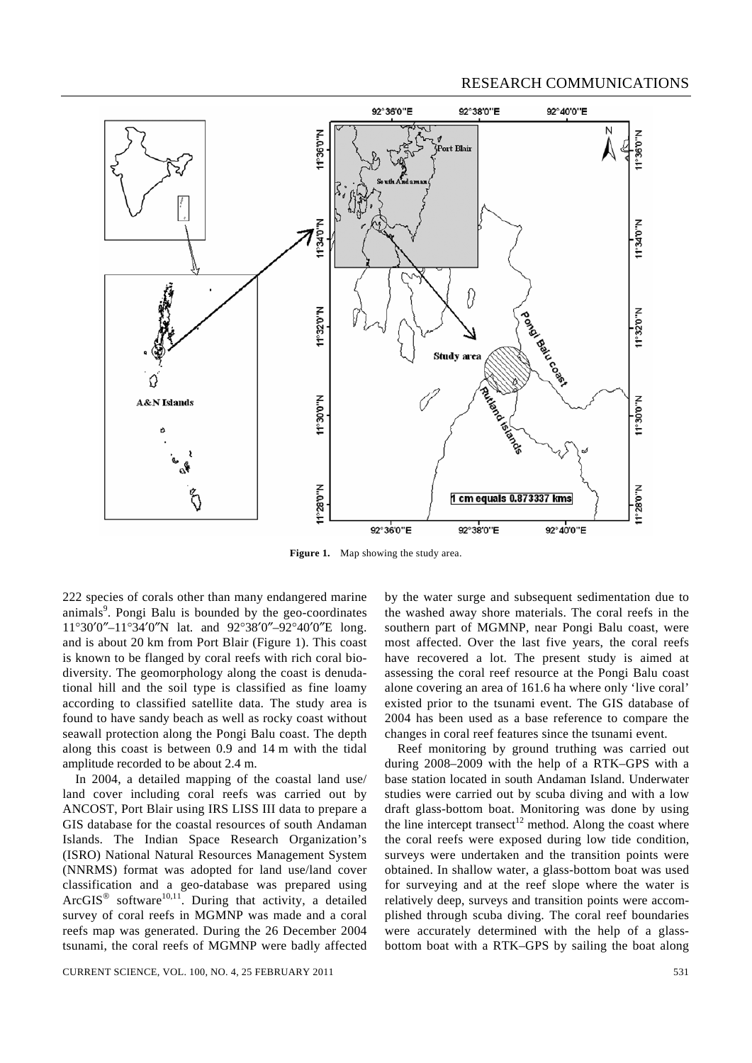

**Figure 1.** Map showing the study area.

222 species of corals other than many endangered marine animals<sup>9</sup>. Pongi Balu is bounded by the geo-coordinates 11°30′0″–11°34′0″N lat. and 92°38′0″–92°40′0″E long. and is about 20 km from Port Blair (Figure 1). This coast is known to be flanged by coral reefs with rich coral biodiversity. The geomorphology along the coast is denudational hill and the soil type is classified as fine loamy according to classified satellite data. The study area is found to have sandy beach as well as rocky coast without seawall protection along the Pongi Balu coast. The depth along this coast is between 0.9 and 14 m with the tidal amplitude recorded to be about 2.4 m.

 In 2004, a detailed mapping of the coastal land use/ land cover including coral reefs was carried out by ANCOST, Port Blair using IRS LISS III data to prepare a GIS database for the coastal resources of south Andaman Islands. The Indian Space Research Organization's (ISRO) National Natural Resources Management System (NNRMS) format was adopted for land use/land cover classification and a geo-database was prepared using Arc $GIS^{\otimes}$  software<sup>10,11</sup>. During that activity, a detailed survey of coral reefs in MGMNP was made and a coral reefs map was generated. During the 26 December 2004 tsunami, the coral reefs of MGMNP were badly affected

by the water surge and subsequent sedimentation due to the washed away shore materials. The coral reefs in the southern part of MGMNP, near Pongi Balu coast, were most affected. Over the last five years, the coral reefs have recovered a lot. The present study is aimed at assessing the coral reef resource at the Pongi Balu coast alone covering an area of 161.6 ha where only 'live coral' existed prior to the tsunami event. The GIS database of 2004 has been used as a base reference to compare the changes in coral reef features since the tsunami event.

 Reef monitoring by ground truthing was carried out during 2008–2009 with the help of a RTK–GPS with a base station located in south Andaman Island. Underwater studies were carried out by scuba diving and with a low draft glass-bottom boat. Monitoring was done by using the line intercept transect<sup>12</sup> method. Along the coast where the coral reefs were exposed during low tide condition, surveys were undertaken and the transition points were obtained. In shallow water, a glass-bottom boat was used for surveying and at the reef slope where the water is relatively deep, surveys and transition points were accomplished through scuba diving. The coral reef boundaries were accurately determined with the help of a glassbottom boat with a RTK–GPS by sailing the boat along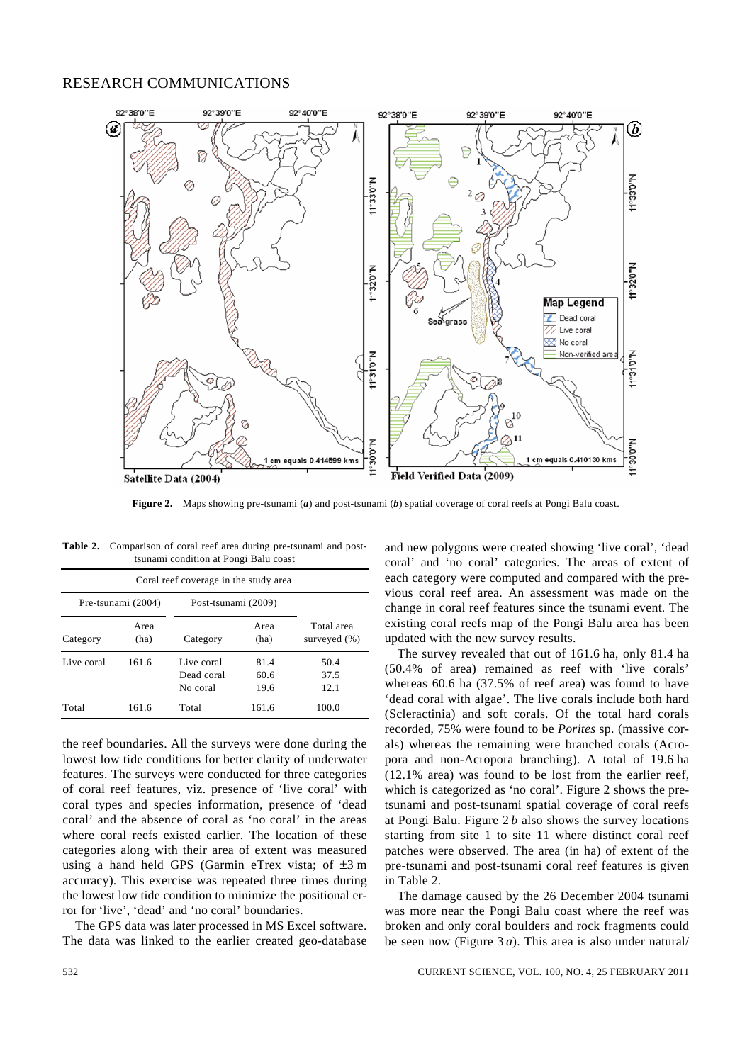

**Figure 2.** Maps showing pre-tsunami (*a*) and post-tsunami (*b*) spatial coverage of coral reefs at Pongi Balu coast.

| <b>Table 2.</b> Comparison of coral reef area during pre-tsunami and post- |
|----------------------------------------------------------------------------|
| tsunami condition at Pongi Balu coast                                      |

| Coral reef coverage in the study area |              |                                      |                      |                            |  |  |
|---------------------------------------|--------------|--------------------------------------|----------------------|----------------------------|--|--|
| Pre-tsunami (2004)                    |              | Post-tsunami (2009)                  |                      |                            |  |  |
| Category                              | Area<br>(ha) | Category                             | Area<br>(ha)         | Total area<br>surveyed (%) |  |  |
| Live coral                            | 161.6        | Live coral<br>Dead coral<br>No coral | 81.4<br>60.6<br>19.6 | 50.4<br>37.5<br>12.1       |  |  |
| Total                                 | 161.6        | Total                                | 161.6                | 100.0                      |  |  |

the reef boundaries. All the surveys were done during the lowest low tide conditions for better clarity of underwater features. The surveys were conducted for three categories of coral reef features, viz. presence of 'live coral' with coral types and species information, presence of 'dead coral' and the absence of coral as 'no coral' in the areas where coral reefs existed earlier. The location of these categories along with their area of extent was measured using a hand held GPS (Garmin eTrex vista; of ±3 m accuracy). This exercise was repeated three times during the lowest low tide condition to minimize the positional error for 'live', 'dead' and 'no coral' boundaries.

 The GPS data was later processed in MS Excel software. The data was linked to the earlier created geo-database and new polygons were created showing 'live coral', 'dead coral' and 'no coral' categories. The areas of extent of each category were computed and compared with the previous coral reef area. An assessment was made on the change in coral reef features since the tsunami event. The existing coral reefs map of the Pongi Balu area has been updated with the new survey results.

 The survey revealed that out of 161.6 ha, only 81.4 ha (50.4% of area) remained as reef with 'live corals' whereas 60.6 ha (37.5% of reef area) was found to have 'dead coral with algae'. The live corals include both hard (Scleractinia) and soft corals. Of the total hard corals recorded, 75% were found to be *Porites* sp. (massive corals) whereas the remaining were branched corals (Acropora and non-Acropora branching). A total of 19.6 ha (12.1% area) was found to be lost from the earlier reef, which is categorized as 'no coral'. Figure 2 shows the pretsunami and post-tsunami spatial coverage of coral reefs at Pongi Balu. Figure 2 *b* also shows the survey locations starting from site 1 to site 11 where distinct coral reef patches were observed. The area (in ha) of extent of the pre-tsunami and post-tsunami coral reef features is given in Table 2.

 The damage caused by the 26 December 2004 tsunami was more near the Pongi Balu coast where the reef was broken and only coral boulders and rock fragments could be seen now (Figure 3 *a*). This area is also under natural/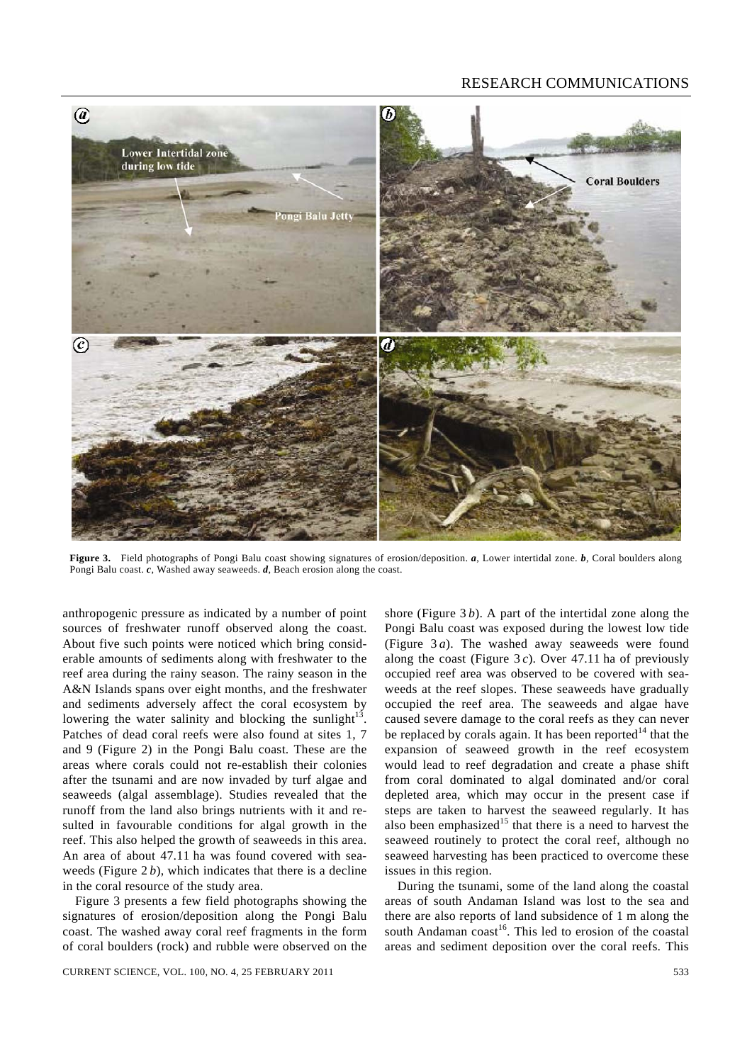

**Figure 3.** Field photographs of Pongi Balu coast showing signatures of erosion/deposition. *a*, Lower intertidal zone. *b*, Coral boulders along Pongi Balu coast. *c*, Washed away seaweeds. *d*, Beach erosion along the coast.

anthropogenic pressure as indicated by a number of point sources of freshwater runoff observed along the coast. About five such points were noticed which bring considerable amounts of sediments along with freshwater to the reef area during the rainy season. The rainy season in the A&N Islands spans over eight months, and the freshwater and sediments adversely affect the coral ecosystem by lowering the water salinity and blocking the sunlight<sup>13</sup>. Patches of dead coral reefs were also found at sites 1, 7 and 9 (Figure 2) in the Pongi Balu coast. These are the areas where corals could not re-establish their colonies after the tsunami and are now invaded by turf algae and seaweeds (algal assemblage). Studies revealed that the runoff from the land also brings nutrients with it and resulted in favourable conditions for algal growth in the reef. This also helped the growth of seaweeds in this area. An area of about 47.11 ha was found covered with seaweeds (Figure  $2 b$ ), which indicates that there is a decline in the coral resource of the study area.

 Figure 3 presents a few field photographs showing the signatures of erosion/deposition along the Pongi Balu coast. The washed away coral reef fragments in the form of coral boulders (rock) and rubble were observed on the

shore (Figure 3 *b*). A part of the intertidal zone along the Pongi Balu coast was exposed during the lowest low tide (Figure 3 *a*). The washed away seaweeds were found along the coast (Figure 3 *c*). Over 47.11 ha of previously occupied reef area was observed to be covered with seaweeds at the reef slopes. These seaweeds have gradually occupied the reef area. The seaweeds and algae have caused severe damage to the coral reefs as they can never be replaced by corals again. It has been reported<sup>14</sup> that the expansion of seaweed growth in the reef ecosystem would lead to reef degradation and create a phase shift from coral dominated to algal dominated and/or coral depleted area, which may occur in the present case if steps are taken to harvest the seaweed regularly. It has also been emphasized<sup>15</sup> that there is a need to harvest the seaweed routinely to protect the coral reef, although no seaweed harvesting has been practiced to overcome these issues in this region.

 During the tsunami, some of the land along the coastal areas of south Andaman Island was lost to the sea and there are also reports of land subsidence of 1 m along the south Andaman  $\cos t^{16}$ . This led to erosion of the coastal areas and sediment deposition over the coral reefs. This